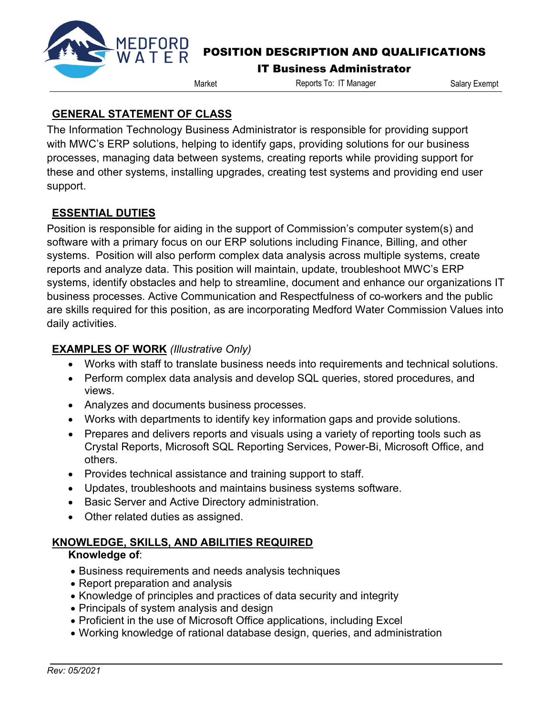

# POSITION DESCRIPTION AND QUALIFICATIONS

#### IT Business Administrator

Market Reports To: IT Manager Salary Exempt

## **GENERAL STATEMENT OF CLASS**

The Information Technology Business Administrator is responsible for providing support with MWC's ERP solutions, helping to identify gaps, providing solutions for our business processes, managing data between systems, creating reports while providing support for these and other systems, installing upgrades, creating test systems and providing end user support.

# **ESSENTIAL DUTIES**

Position is responsible for aiding in the support of Commission's computer system(s) and software with a primary focus on our ERP solutions including Finance, Billing, and other systems. Position will also perform complex data analysis across multiple systems, create reports and analyze data. This position will maintain, update, troubleshoot MWC's ERP systems, identify obstacles and help to streamline, document and enhance our organizations IT business processes. Active Communication and Respectfulness of co-workers and the public are skills required for this position, as are incorporating Medford Water Commission Values into daily activities.

# **EXAMPLES OF WORK** *(Illustrative Only)*

- Works with staff to translate business needs into requirements and technical solutions.
- Perform complex data analysis and develop SQL queries, stored procedures, and views.
- Analyzes and documents business processes.
- Works with departments to identify key information gaps and provide solutions.
- Prepares and delivers reports and visuals using a variety of reporting tools such as Crystal Reports, Microsoft SQL Reporting Services, Power-Bi, Microsoft Office, and others.
- Provides technical assistance and training support to staff.
- Updates, troubleshoots and maintains business systems software.
- Basic Server and Active Directory administration.
- Other related duties as assigned.

# **KNOWLEDGE, SKILLS, AND ABILITIES REQUIRED**

#### **Knowledge of**:

- Business requirements and needs analysis techniques
- Report preparation and analysis
- Knowledge of principles and practices of data security and integrity
- Principals of system analysis and design
- Proficient in the use of Microsoft Office applications, including Excel
- Working knowledge of rational database design, queries, and administration